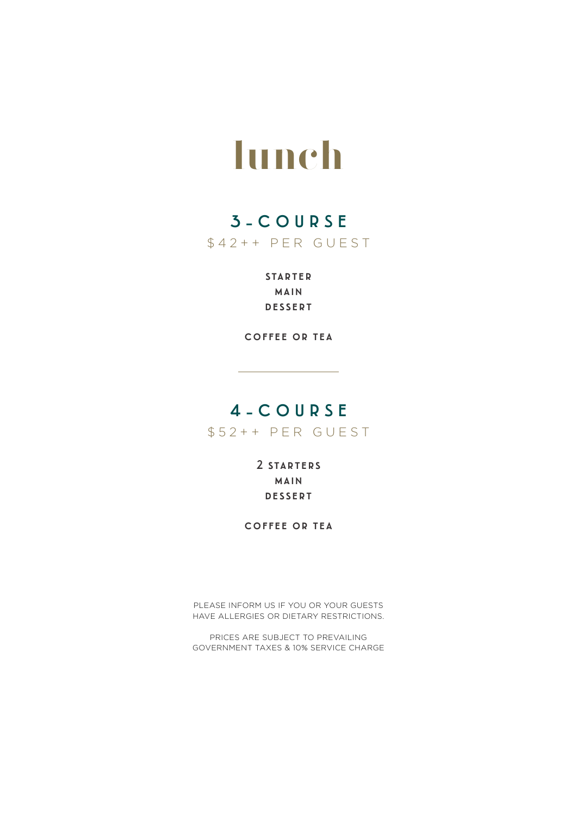# **lunch**

### 3-COURSE

\$42++ PER GUEST

**STARTER** main dessert

coffee or tea

### 4-COURSE

\$52++ PER GUEST

2 starters main dessert

coffee or tea

PLEASE INFORM US IF YOU OR YOUR GUESTS HAVE ALLERGIES OR DIETARY RESTRICTIONS.

PRICES ARE SUBJECT TO PREVAILING GOVERNMENT TAXES & 10% SERVICE CHARGE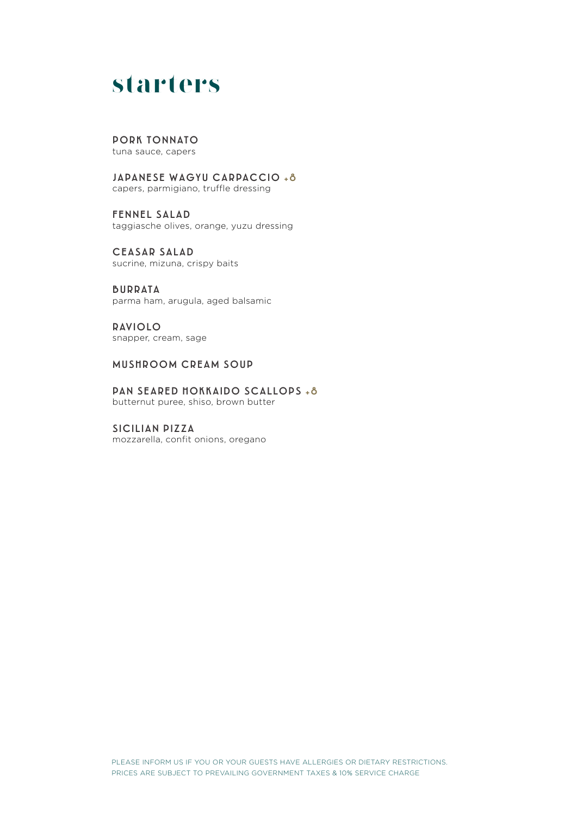### **starters**

#### PORK TONNATO

tuna sauce, capers

JAPANESE WAGYU CARPACCIO +8 capers, parmigiano, truffle dressing

FENNEL SALAD taggiasche olives, orange, yuzu dressing

CEASAR SALAD sucrine, mizuna, crispy baits

BURRATA parma ham, arugula, aged balsamic

RAVIOLO snapper, cream, sage

#### MUSHROOM CREAM SOUP

PAN SEARED HOKKAIDO SCALLOPS +8 butternut puree, shiso, brown butter

SICILIAN PIZZA mozzarella, confit onions, oregano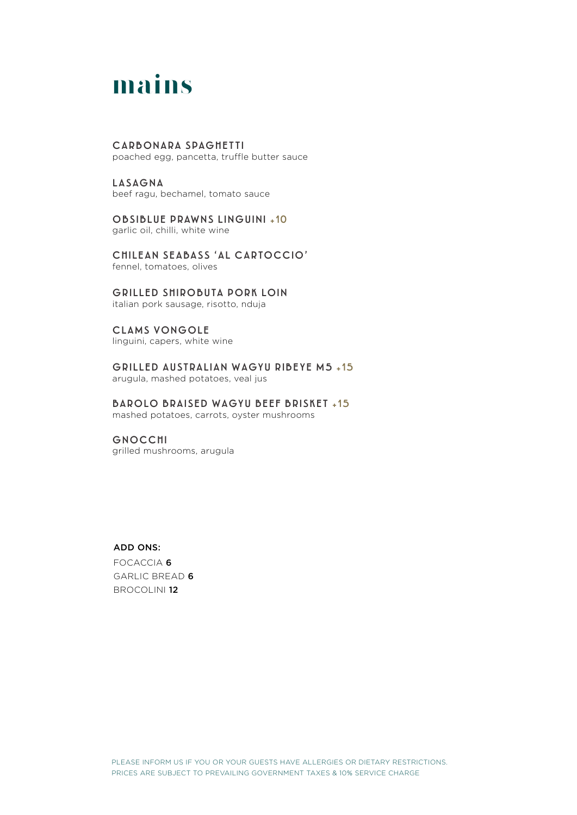## **mains**

#### CARBONARA SPAGHETTI

poached egg, pancetta, truffle butter sauce

LASAGNA beef ragu, bechamel, tomato sauce

OBSIBLUE PRAWNS LINGUINI +10 garlic oil, chilli, white wine

CHILEAN SEABASS 'AL CARTOCCIO' fennel, tomatoes, olives

#### GRILLED SHIROBUTA PORK LOIN

italian pork sausage, risotto, nduja

#### CLAMS VONGOLE

linguini, capers, white wine

GRILLED AUSTRALIAN WAGYU RIBEYE M5 +15 arugula, mashed potatoes, veal jus

BAROLO BRAISED WAGYU BEEF BRISKET +15

mashed potatoes, carrots, oyster mushrooms

#### GNOCCHI

grilled mushrooms, arugula

#### ADD ONS:

FOCACCIA 6 GARLIC BREAD 6 BROCOLINI 12